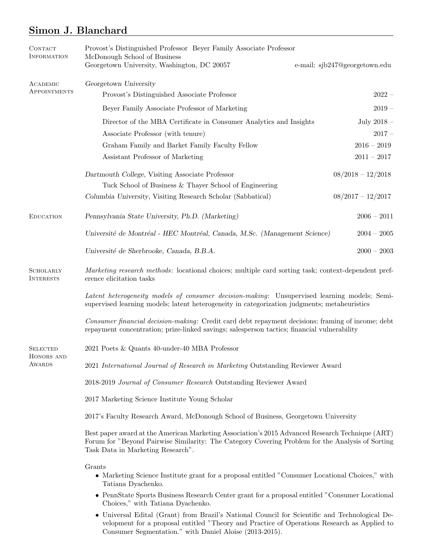# Simon J. Blanchard

| <b>CONTACT</b><br><b>INFORMATION</b>    | Provost's Distinguished Professor Beyer Family Associate Professor<br>McDonough School of Business<br>Georgetown University, Washington, DC 20057                                                                                        | e-mail: sjb247@georgetown.edu |
|-----------------------------------------|------------------------------------------------------------------------------------------------------------------------------------------------------------------------------------------------------------------------------------------|-------------------------------|
| ACADEMIC<br>APPOINTMENTS                | Georgetown University                                                                                                                                                                                                                    |                               |
|                                         | Provost's Distinguished Associate Professor                                                                                                                                                                                              | $2022 -$                      |
|                                         | Beyer Family Associate Professor of Marketing                                                                                                                                                                                            | $2019 -$                      |
|                                         | Director of the MBA Certificate in Consumer Analytics and Insights                                                                                                                                                                       | July 2018 $-$                 |
|                                         | Associate Professor (with tenure)                                                                                                                                                                                                        | $2017 -$                      |
|                                         | Graham Family and Barket Family Faculty Fellow                                                                                                                                                                                           | $2016 - 2019$                 |
|                                         | Assistant Professor of Marketing                                                                                                                                                                                                         | $2011 - 2017$                 |
|                                         | Dartmouth College, Visiting Associate Professor                                                                                                                                                                                          | $08/2018 - 12/2018$           |
|                                         | Tuck School of Business & Thayer School of Engineering                                                                                                                                                                                   |                               |
|                                         | Columbia University, Visiting Research Scholar (Sabbatical)                                                                                                                                                                              | $08/2017 - 12/2017$           |
| <b>EDUCATION</b>                        | Pennsylvania State University, Ph.D. (Marketing)                                                                                                                                                                                         | $2006 - 2011$                 |
|                                         | Université de Montréal - HEC Montréal, Canada, M.Sc. (Management Science)                                                                                                                                                                | $2004 - 2005$                 |
|                                         | Université de Sherbrooke, Canada, B.B.A.                                                                                                                                                                                                 | $2000 - 2003$                 |
| <b>SCHOLARLY</b><br><b>INTERESTS</b>    | Marketing research methods: locational choices; multiple card sorting task; context-dependent pref-<br>erence elicitation tasks                                                                                                          |                               |
|                                         | Latent heterogeneity models of consumer decision-making: Unsupervised learning models; Semi-<br>supervised learning models; latent heterogeneity in categorization judgments; metaheuristics                                             |                               |
|                                         | Consumer financial decision-making: Credit card debt repayment decisions; framing of income; debt<br>repayment concentration; prize-linked savings; salesperson tactics; financial vulnerability                                         |                               |
| <b>SELECTED</b><br>HONORS AND<br>AWARDS | 2021 Poets & Quants 40-under-40 MBA Professor                                                                                                                                                                                            |                               |
|                                         | 2021 International Journal of Research in Marketing Outstanding Reviewer Award                                                                                                                                                           |                               |
|                                         | 2018-2019 Journal of Consumer Research Outstanding Reviewer Award                                                                                                                                                                        |                               |
|                                         | 2017 Marketing Science Institute Young Scholar                                                                                                                                                                                           |                               |
|                                         | 2017's Faculty Research Award, McDonough School of Business, Georgetown University                                                                                                                                                       |                               |
|                                         | Best paper award at the American Marketing Association's 2015 Advanced Research Technique (ART)<br>Forum for "Beyond Pairwise Similarity: The Category Covering Problem for the Analysis of Sorting<br>Task Data in Marketing Research". |                               |
|                                         | Grants                                                                                                                                                                                                                                   |                               |

- Marketing Science Institute grant for a proposal entitled "Consumer Locational Choices," with Tatiana Dyachenko.
- PennState Sports Business Research Center grant for a proposal entitled "Consumer Locational Choices," with Tatiana Dyachenko.
- Universal Edital (Grant) from Brazil's National Council for Scientific and Technological Development for a proposal entitled "Theory and Practice of Operations Research as Applied to Consumer Segmentation." with Daniel Aloise (2013-2015).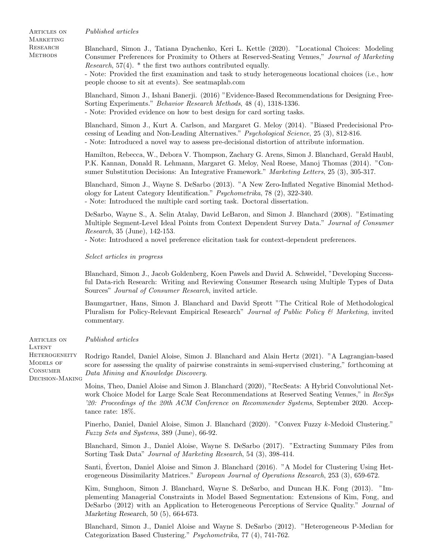Published articles

Articles on **MARKETING RESEARCH METHODS** 

Blanchard, Simon J., Tatiana Dyachenko, Keri L. Kettle (2020). "Locational Choices: Modeling Consumer Preferences for Proximity to Others at Reserved-Seating Venues," Journal of Marketing Research, 57(4). \* the first two authors contributed equally.

- Note: Provided the first examination and task to study heterogeneous locational choices (i.e., how people choose to sit at events). See seatmaplab.com

Blanchard, Simon J., Ishani Banerji. (2016) "Evidence-Based Recommendations for Designing Free-Sorting Experiments." Behavior Research Methods, 48 (4), 1318-1336.

- Note: Provided evidence on how to best design for card sorting tasks.

Blanchard, Simon J., Kurt A. Carlson, and Margaret G. Meloy (2014). "Biased Predecisional Processing of Leading and Non-Leading Alternatives." Psychological Science, 25 (3), 812-816. - Note: Introduced a novel way to assess pre-decisional distortion of attribute information.

Hamilton, Rebecca, W., Debora V. Thompson, Zachary G. Arens, Simon J. Blanchard, Gerald Haubl, P.K. Kannan, Donald R. Lehmann, Margaret G. Meloy, Neal Roese, Manoj Thomas (2014). "Consumer Substitution Decisions: An Integrative Framework." Marketing Letters, 25 (3), 305-317.

Blanchard, Simon J., Wayne S. DeSarbo (2013). "A New Zero-Inflated Negative Binomial Methodology for Latent Category Identification." Psychometrika, 78 (2), 322-340. - Note: Introduced the multiple card sorting task. Doctoral dissertation.

DeSarbo, Wayne S., A. Selin Atalay, David LeBaron, and Simon J. Blanchard (2008). "Estimating Multiple Segment-Level Ideal Points from Context Dependent Survey Data." Journal of Consumer Research, 35 (June), 142-153.

- Note: Introduced a novel preference elicitation task for context-dependent preferences.

Select articles in progress

Blanchard, Simon J., Jacob Goldenberg, Koen Pawels and David A. Schweidel, "Developing Successful Data-rich Research: Writing and Reviewing Consumer Research using Multiple Types of Data Sources" Journal of Consumer Research, invited article.

Baumgartner, Hans, Simon J. Blanchard and David Sprott "The Critical Role of Methodological Pluralism for Policy-Relevant Empirical Research" Journal of Public Policy & Marketing, invited commentary.

Articles on Published articles

LATENT

**HETEROGENEITY** MODELS OF **CONSUMER** Decision-Making Rodrigo Randel, Daniel Aloise, Simon J. Blanchard and Alain Hertz (2021). "A Lagrangian-based score for assessing the quality of pairwise constraints in semi-supervised clustering," forthcoming at Data Mining and Knowledge Discovery.

> Moins, Theo, Daniel Aloise and Simon J. Blanchard (2020), "RecSeats: A Hybrid Convolutional Network Choice Model for Large Scale Seat Recommendations at Reserved Seating Venues," in RecSus '20: Proceedings of the 20th ACM Conference on Recommender Systems, September 2020. Acceptance rate: 18%.

> Pinerho, Daniel, Daniel Aloise, Simon J. Blanchard (2020). "Convex Fuzzy k-Medoid Clustering." Fuzzy Sets and Systems, 389 (June), 66-92.

> Blanchard, Simon J., Daniel Aloise, Wayne S. DeSarbo (2017). "Extracting Summary Piles from Sorting Task Data" Journal of Marketing Research, 54 (3), 398-414.

> Santi, Everton, Daniel Aloise and Simon J. Blanchard (2016). "A Model for Clustering Using Het- ´ erogeneous Dissimilarity Matrices." European Journal of Operations Research, 253 (3), 659-672.

> Kim, Sunghoon, Simon J. Blanchard, Wayne S. DeSarbo, and Duncan H.K. Fong (2013). "Implementing Managerial Constraints in Model Based Segmentation: Extensions of Kim, Fong, and DeSarbo (2012) with an Application to Heterogeneous Perceptions of Service Quality." Journal of Marketing Research, 50 (5), 664-673.

> Blanchard, Simon J., Daniel Aloise and Wayne S. DeSarbo (2012). "Heterogeneous P-Median for Categorization Based Clustering." Psychometrika, 77 (4), 741-762.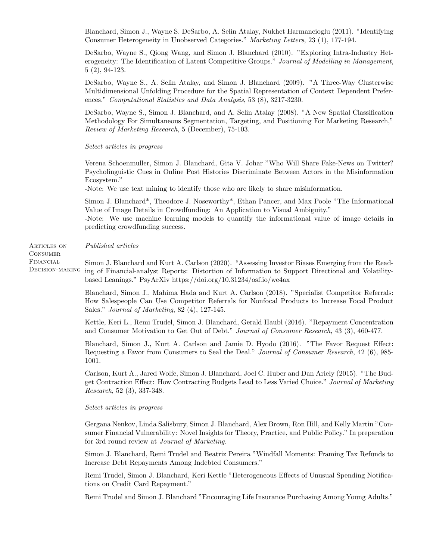Blanchard, Simon J., Wayne S. DeSarbo, A. Selin Atalay, Nukhet Harmancioglu (2011). "Identifying Consumer Heterogeneity in Unobserved Categories." Marketing Letters, 23 (1), 177-194.

DeSarbo, Wayne S., Qiong Wang, and Simon J. Blanchard (2010). "Exploring Intra-Industry Heterogeneity: The Identification of Latent Competitive Groups." Journal of Modelling in Management, 5 (2), 94-123.

DeSarbo, Wayne S., A. Selin Atalay, and Simon J. Blanchard (2009). "A Three-Way Clusterwise Multidimensional Unfolding Procedure for the Spatial Representation of Context Dependent Preferences." Computational Statistics and Data Analysis, 53 (8), 3217-3230.

DeSarbo, Wayne S., Simon J. Blanchard, and A. Selin Atalay (2008). "A New Spatial Classification Methodology For Simultaneous Segmentation, Targeting, and Positioning For Marketing Research," Review of Marketing Research, 5 (December), 75-103.

Select articles in progress

Verena Schoenmuller, Simon J. Blanchard, Gita V. Johar "Who Will Share Fake-News on Twitter? Psycholinguistic Cues in Online Post Histories Discriminate Between Actors in the Misinformation Ecosystem."

-Note: We use text mining to identify those who are likely to share misinformation.

Simon J. Blanchard\*, Theodore J. Noseworthy\*, Ethan Pancer, and Max Poole "The Informational Value of Image Details in Crowdfunding: An Application to Visual Ambiguity."

-Note: We use machine learning models to quantify the informational value of image details in predicting crowdfunding success.

Published articles

Articles on **CONSUMER** Financial Decision-making

Simon J. Blanchard and Kurt A. Carlson (2020). "Assessing Investor Biases Emerging from the Reading of Financial-analyst Reports: Distortion of Information to Support Directional and Volatilitybased Leanings." PsyArXiv https://doi.org/10.31234/osf.io/we4ax

Blanchard, Simon J., Mahima Hada and Kurt A. Carlson (2018). "Specialist Competitor Referrals: How Salespeople Can Use Competitor Referrals for Nonfocal Products to Increase Focal Product Sales." Journal of Marketing, 82 (4), 127-145.

Kettle, Keri L., Remi Trudel, Simon J. Blanchard, Gerald Haubl (2016). "Repayment Concentration and Consumer Motivation to Get Out of Debt." Journal of Consumer Research, 43 (3), 460-477.

Blanchard, Simon J., Kurt A. Carlson and Jamie D. Hyodo (2016). "The Favor Request Effect: Requesting a Favor from Consumers to Seal the Deal." Journal of Consumer Research, 42 (6), 985- 1001.

Carlson, Kurt A., Jared Wolfe, Simon J. Blanchard, Joel C. Huber and Dan Ariely (2015). "The Budget Contraction Effect: How Contracting Budgets Lead to Less Varied Choice." Journal of Marketing Research, 52 (3), 337-348.

### Select articles in progress

Gergana Nenkov, Linda Salisbury, Simon J. Blanchard, Alex Brown, Ron Hill, and Kelly Martin "Consumer Financial Vulnerability: Novel Insights for Theory, Practice, and Public Policy." In preparation for 3rd round review at Journal of Marketing.

Simon J. Blanchard, Remi Trudel and Beatriz Pereira "Windfall Moments: Framing Tax Refunds to Increase Debt Repayments Among Indebted Consumers."

Remi Trudel, Simon J. Blanchard, Keri Kettle "Heterogeneous Effects of Unusual Spending Notifications on Credit Card Repayment."

Remi Trudel and Simon J. Blanchard "Encouraging Life Insurance Purchasing Among Young Adults."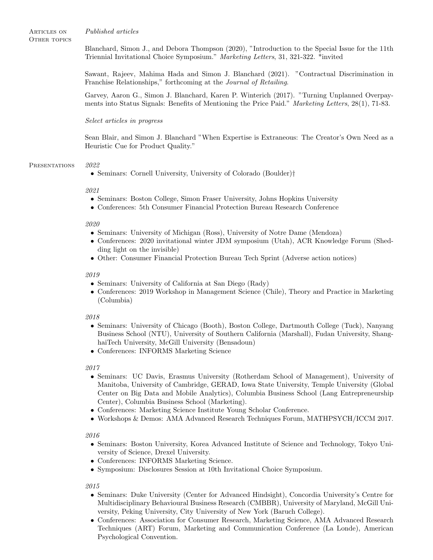Articles on Published articles

OTHER TOPICS

Blanchard, Simon J., and Debora Thompson (2020), "Introduction to the Special Issue for the 11th Triennial Invitational Choice Symposium." Marketing Letters, 31, 321-322. \*invited

Sawant, Rajeev, Mahima Hada and Simon J. Blanchard (2021). "Contractual Discrimination in Franchise Relationships," forthcoming at the Journal of Retailing.

Garvey, Aaron G., Simon J. Blanchard, Karen P. Winterich (2017). "Turning Unplanned Overpayments into Status Signals: Benefits of Mentioning the Price Paid." Marketing Letters, 28(1), 71-83.

# Select articles in progress

Sean Blair, and Simon J. Blanchard "When Expertise is Extraneous: The Creator's Own Need as a Heuristic Cue for Product Quality."

# PRESENTATIONS 2022

• Seminars: Cornell University, University of Colorado (Boulder)†

# 2021

- Seminars: Boston College, Simon Fraser University, Johns Hopkins University
- Conferences: 5th Consumer Financial Protection Bureau Research Conference

### 2020

- Seminars: University of Michigan (Ross), University of Notre Dame (Mendoza)
- Conferences: 2020 invitational winter JDM symposium (Utah), ACR Knowledge Forum (Shedding light on the invisible)
- Other: Consumer Financial Protection Bureau Tech Sprint (Adverse action notices)

### 2019

- Seminars: University of California at San Diego (Rady)
- Conferences: 2019 Workshop in Management Science (Chile), Theory and Practice in Marketing (Columbia)

# 2018

- Seminars: University of Chicago (Booth), Boston College, Dartmouth College (Tuck), Nanyang Business School (NTU), University of Southern California (Marshall), Fudan University, ShanghaiTech University, McGill University (Bensadoun)
- Conferences: INFORMS Marketing Science

# 2017

- Seminars: UC Davis, Erasmus University (Rotherdam School of Management), University of Manitoba, University of Cambridge, GERAD, Iowa State University, Temple University (Global Center on Big Data and Mobile Analytics), Columbia Business School (Lang Entrepreneurship Center), Columbia Business School (Marketing).
- Conferences: Marketing Science Institute Young Scholar Conference.
- Workshops & Demos: AMA Advanced Research Techniques Forum, MATHPSYCH/ICCM 2017.

# 2016

- Seminars: Boston University, Korea Advanced Institute of Science and Technology, Tokyo University of Science, Drexel University.
- Conferences: INFORMS Marketing Science.
- Symposium: Disclosures Session at 10th Invitational Choice Symposium.

2015

- Seminars: Duke University (Center for Advanced Hindsight), Concordia University's Centre for Multidisciplinary Behavioural Business Research (CMBBR), University of Maryland, McGill University, Peking University, City University of New York (Baruch College).
- Conferences: Association for Consumer Research, Marketing Science, AMA Advanced Research Techniques (ART) Forum, Marketing and Communication Conference (La Londe), American Psychological Convention.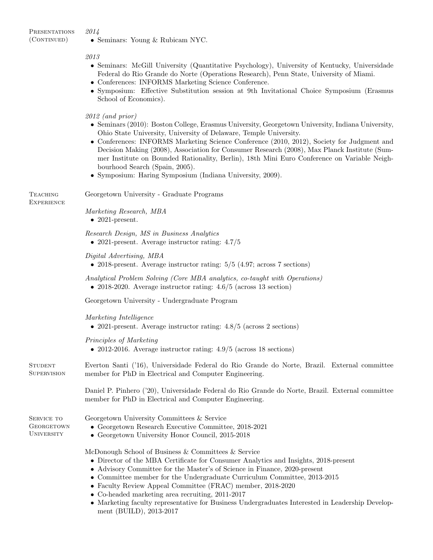**PRESENTATIONS** 2014

(CONTINUED)

• Seminars: Young & Rubicam NYC.

2013

- Seminars: McGill University (Quantitative Psychology), University of Kentucky, Universidade Federal do Rio Grande do Norte (Operations Research), Penn State, University of Miami.
- Conferences: INFORMS Marketing Science Conference.
- Symposium: Effective Substitution session at 9th Invitational Choice Symposium (Erasmus School of Economics).

2012 (and prior)

- Seminars (2010): Boston College, Erasmus University, Georgetown University, Indiana University, Ohio State University, University of Delaware, Temple University.
- Conferences: INFORMS Marketing Science Conference (2010, 2012), Society for Judgment and Decision Making (2008), Association for Consumer Research (2008), Max Planck Institute (Summer Institute on Bounded Rationality, Berlin), 18th Mini Euro Conference on Variable Neighbourhood Search (Spain, 2005).
- Symposium: Haring Symposium (Indiana University, 2009).

Georgetown University - Graduate Programs

Marketing Research, MBA

- $\bullet$  2021-present.
- Research Design, MS in Business Analytics • 2021-present. Average instructor rating:  $4.7/5$

Digital Advertising, MBA

• 2018-present. Average instructor rating:  $5/5$  (4.97; across 7 sections)

Analytical Problem Solving (Core MBA analytics, co-taught with Operations) • 2018-2020. Average instructor rating: 4.6/5 (across 13 section)

Georgetown University - Undergraduate Program

Marketing Intelligence

• 2021-present. Average instructor rating:  $4.8/5$  (across 2 sections)

Principles of Marketing

• 2012-2016. Average instructor rating: 4.9/5 (across 18 sections)

**STUDENT SUPERVISION** Everton Santi ('16), Universidade Federal do Rio Grande do Norte, Brazil. External committee member for PhD in Electrical and Computer Engineering.

> Daniel P. Pinhero ('20), Universidade Federal do Rio Grande do Norte, Brazil. External committee member for PhD in Electrical and Computer Engineering.

SERVICE TO **GEORGETOWN UNIVERSITY** 

Georgetown University Committees & Service

- Georgetown Research Executive Committee, 2018-2021
- Georgetown University Honor Council, 2015-2018

McDonough School of Business & Committees & Service

- Director of the MBA Certificate for Consumer Analytics and Insights, 2018-present
- Advisory Committee for the Master's of Science in Finance, 2020-present
- Committee member for the Undergraduate Curriculum Committee, 2013-2015
- Faculty Review Appeal Committee (FRAC) member, 2018-2020
- Co-headed marketing area recruiting, 2011-2017
- Marketing faculty representative for Business Undergraduates Interested in Leadership Development (BUILD), 2013-2017

**TEACHING EXPERIENCE**